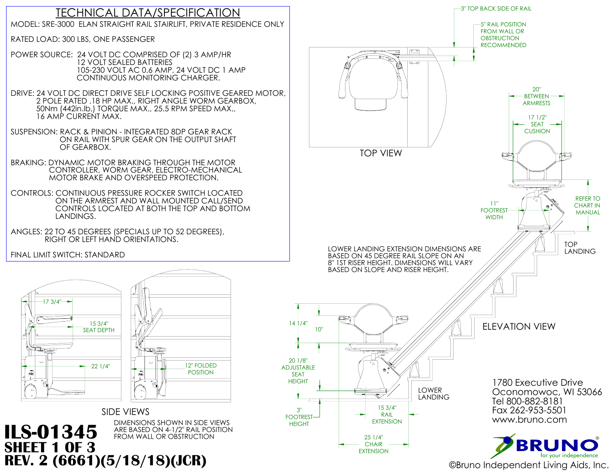

# TECHNICAL DATA/SPECIFICATION MODEL: SRE-3000 ELAN STRAIGHT RAIL STAIRLIFT, PRIVATE RESIDENCE ONLY

RATED LOAD: 300 LBS, ONE PASSENGER

POWER SOURCE: 24 VOLT DC COMPRISED OF (2) 3 AMP/HR 12 VOLT SEALED BATTERIES 105-230 VOLT AC 0.6 AMP, 24 VOLT DC 1 AMP

DIMENSIONS SHOWN IN SIDE VIEWS<br>ARE BASED ON 4-1/2" RAIL POSITION **ILS-01345** ARE BASED ON 4-1/2" RAIL POS **SHEET 1 OF 3**

 CONTINUOUS MONITORING CHARGER. DRIVE: 24 VOLT DC DIRECT DRIVE SELF LOCKING POSITIVE GEARED MOTOR, 2 POLE RATED .18 HP MAX., RIGHT ANGLE WORM GEARBOX, 50Nm (442in.lb.) TORQUE MAX., 25.5 RPM SPEED MAX., 16 AMP CURRENT MAX.



SUSPENSION: RACK & PINION - INTEGRATED 8DP GEAR RACK ON RAIL WITH SPUR GEAR ON THE OUTPUT SHAFT OF GEARBOX.

BRAKING: DYNAMIC MOTOR BRAKING THROUGH THE MOTOR CONTROLLER, WORM GEAR, ELECTRO-MECHANICAL MOTOR BRAKE AND OVERSPEED PROTECTION.

CONTROLS: CONTINUOUS PRESSURE ROCKER SWITCH LOCATED ON THE ARMREST AND WALL MOUNTED CALL/SEND CONTROLS LOCATED AT BOTH THE TOP AND BOTTOM LANDINGS.

ANGLES: 22 TO 45 DEGREES (SPECIALS UP TO 52 DEGREES), RIGHT OR LEFT HAND ORIENTATIONS.

FINAL LIMIT SWITCH: STANDARD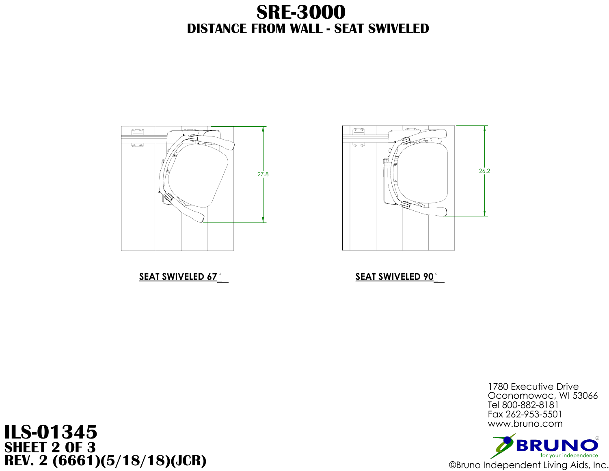

# **SEAT SWIVELED 67 SEAT SWIVELED 90**

# $\gamma$ O $\gamma$  $(0, 0)$

# **ILS-01345 SHEET 2 OF 3 REV. 2** (6661)(5/18/18)(JCR) ©Bruno Independent Living Aids, Inc.

# **DISTANCE FROM WALL - SEAT SWIVELED SRE-3000**